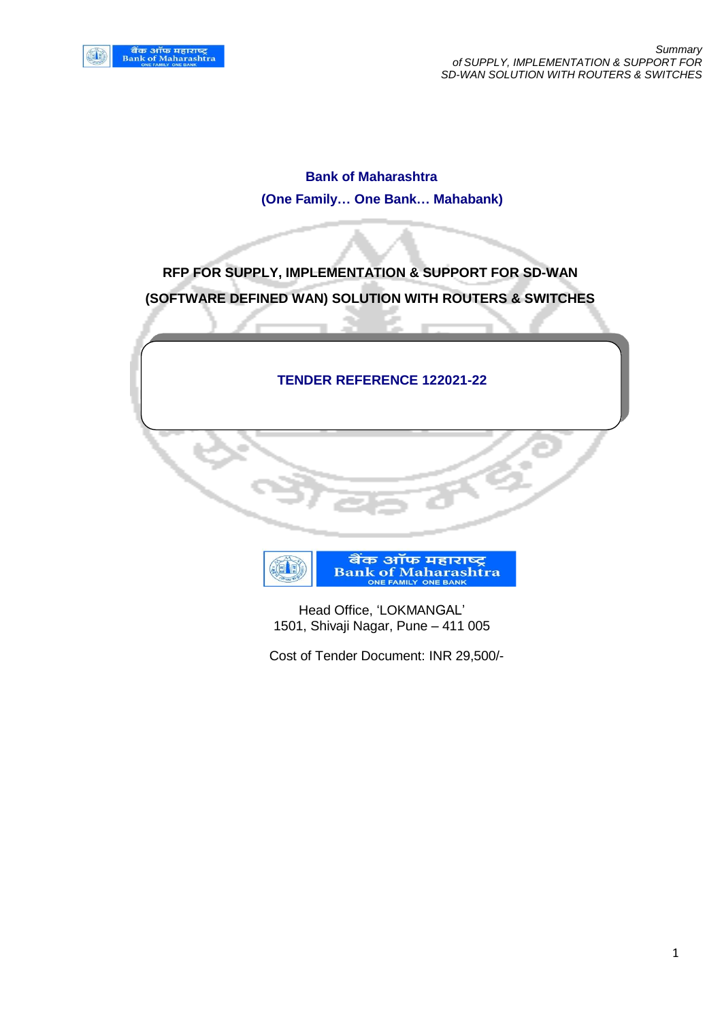**Bank of Maharashtra (One Family… One Bank… Mahabank)**

**RFP FOR SUPPLY, IMPLEMENTATION & SUPPORT FOR SD-WAN (SOFTWARE DEFINED WAN) SOLUTION WITH ROUTERS & SWITCHES**

## **TENDER REFERENCE 122021-22**



 Head Office, 'LOKMANGAL' 1501, Shivaji Nagar, Pune – 411 005

Cost of Tender Document: INR 29,500/-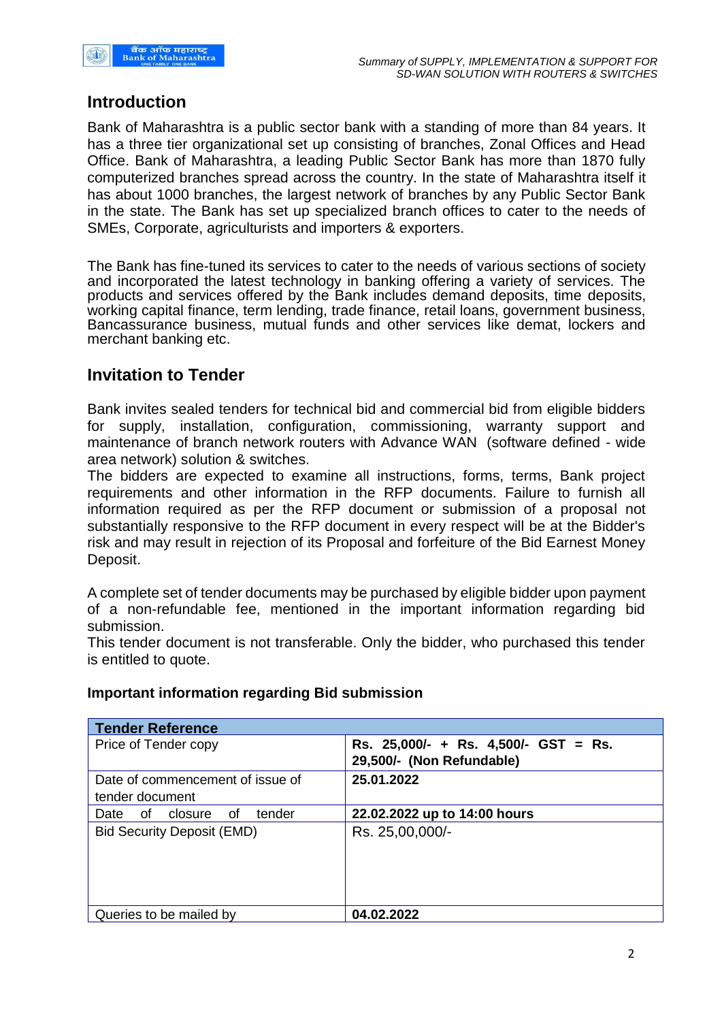

## **Introduction**

Bank of Maharashtra is a public sector bank with a standing of more than 84 years. It has a three tier organizational set up consisting of branches, Zonal Offices and Head Office. Bank of Maharashtra, a leading Public Sector Bank has more than 1870 fully computerized branches spread across the country. In the state of Maharashtra itself it has about 1000 branches, the largest network of branches by any Public Sector Bank in the state. The Bank has set up specialized branch offices to cater to the needs of SMEs, Corporate, agriculturists and importers & exporters.

The Bank has fine-tuned its services to cater to the needs of various sections of society and incorporated the latest technology in banking offering a variety of services. The products and services offered by the Bank includes demand deposits, time deposits, working capital finance, term lending, trade finance, retail loans, government business, Bancassurance business, mutual funds and other services like demat, lockers and merchant banking etc.

## **Invitation to Tender**

Bank invites sealed tenders for technical bid and commercial bid from eligible bidders for supply, installation, configuration, commissioning, warranty support and maintenance of branch network routers with Advance WAN (software defined - wide area network) solution & switches.

The bidders are expected to examine all instructions, forms, terms, Bank project requirements and other information in the RFP documents. Failure to furnish all information required as per the RFP document or submission of a proposal not substantially responsive to the RFP document in every respect will be at the Bidder's risk and may result in rejection of its Proposal and forfeiture of the Bid Earnest Money Deposit.

A complete set of tender documents may be purchased by eligible bidder upon payment of a non-refundable fee, mentioned in the important information regarding bid submission.

This tender document is not transferable. Only the bidder, who purchased this tender is entitled to quote.

**Tender Reference** Price of Tender copy **Rs. 25,000/- + Rs. 4,500/- GST = Rs. 29,500/- (Non Refundable)**  Date of commencement of issue of tender document **25.01.2022** Date of closure of tender Bid Security Deposit (EMD) Rs. 25,00,000/-**22.02.2022 up to 14:00 hours** Queries to be mailed by **04.02.2022**

## **Important information regarding Bid submission**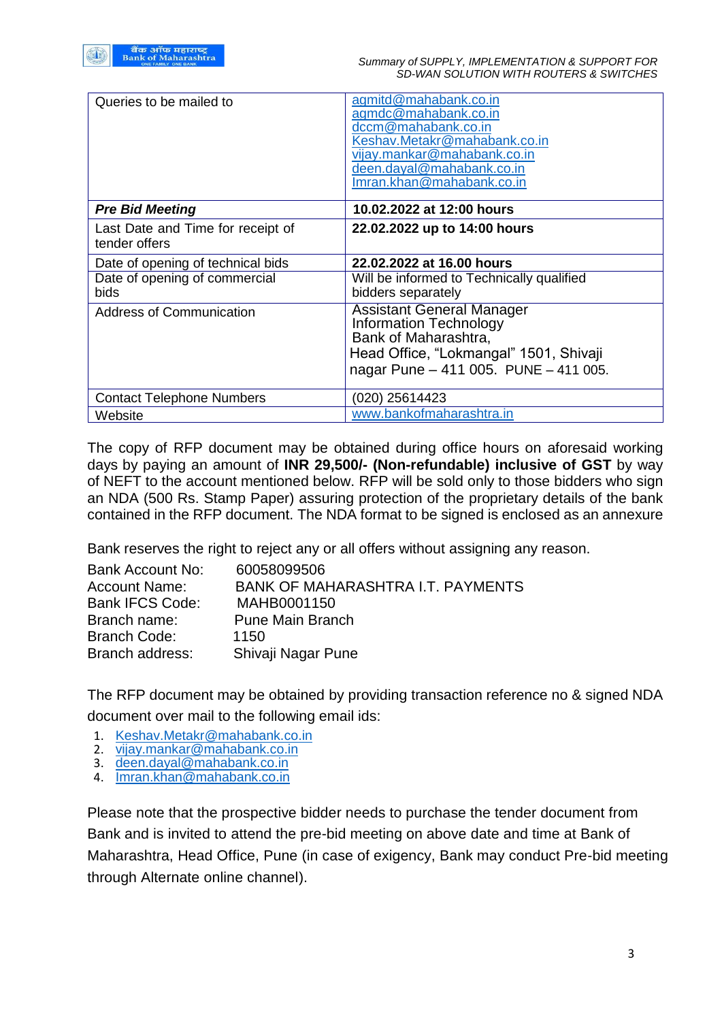| Queries to be mailed to                            | agmitd@mahabank.co.in<br>agmdc@mahabank.co.in<br>dccm@mahabank.co.in<br>Keshav.Metakr@mahabank.co.in<br>vijay.mankar@mahabank.co.in<br>deen.dayal@mahabank.co.in<br>lmran.khan@mahabank.co.in |
|----------------------------------------------------|-----------------------------------------------------------------------------------------------------------------------------------------------------------------------------------------------|
| <b>Pre Bid Meeting</b>                             | 10.02.2022 at 12:00 hours                                                                                                                                                                     |
| Last Date and Time for receipt of<br>tender offers | 22.02.2022 up to 14:00 hours                                                                                                                                                                  |
| Date of opening of technical bids                  | 22.02.2022 at 16.00 hours                                                                                                                                                                     |
| Date of opening of commercial<br>bids              | Will be informed to Technically qualified<br>bidders separately                                                                                                                               |
| <b>Address of Communication</b>                    | <b>Assistant General Manager</b><br><b>Information Technology</b><br>Bank of Maharashtra,<br>Head Office, "Lokmangal" 1501, Shivaji<br>nagar Pune - 411 005. PUNE - 411 005.                  |
| <b>Contact Telephone Numbers</b>                   | (020) 25614423                                                                                                                                                                                |
| Website                                            | www.bankofmaharashtra.in                                                                                                                                                                      |

The copy of RFP document may be obtained during office hours on aforesaid working days by paying an amount of **INR 29,500/- (Non-refundable) inclusive of GST** by way of NEFT to the account mentioned below. RFP will be sold only to those bidders who sign an NDA (500 Rs. Stamp Paper) assuring protection of the proprietary details of the bank contained in the RFP document. The NDA format to be signed is enclosed as an annexure

Bank reserves the right to reject any or all offers without assigning any reason.

| 60058099506                              |
|------------------------------------------|
| <b>BANK OF MAHARASHTRA I.T. PAYMENTS</b> |
| MAHB0001150                              |
| <b>Pune Main Branch</b>                  |
| 1150                                     |
| Shivaji Nagar Pune                       |
|                                          |

The RFP document may be obtained by providing transaction reference no & signed NDA document over mail to the following email ids:

- 1. [Keshav.Metakr@mahabank.co.in](mailto:Keshav.Metakr@mahabank.co.in)<br>2. vijav.mankar@mahabank.co.in
- vijay.mankar@mahabank.co.in
- 3. [deen.dayal@mahabank.co.in](mailto:deen.dayal@mahabank.co.in)
- 4. [Imran.khan@mahabank.co.in](mailto:Imran.khan@mahabank.co.in)

Please note that the prospective bidder needs to purchase the tender document from Bank and is invited to attend the pre-bid meeting on above date and time at Bank of Maharashtra, Head Office, Pune (in case of exigency, Bank may conduct Pre-bid meeting through Alternate online channel).